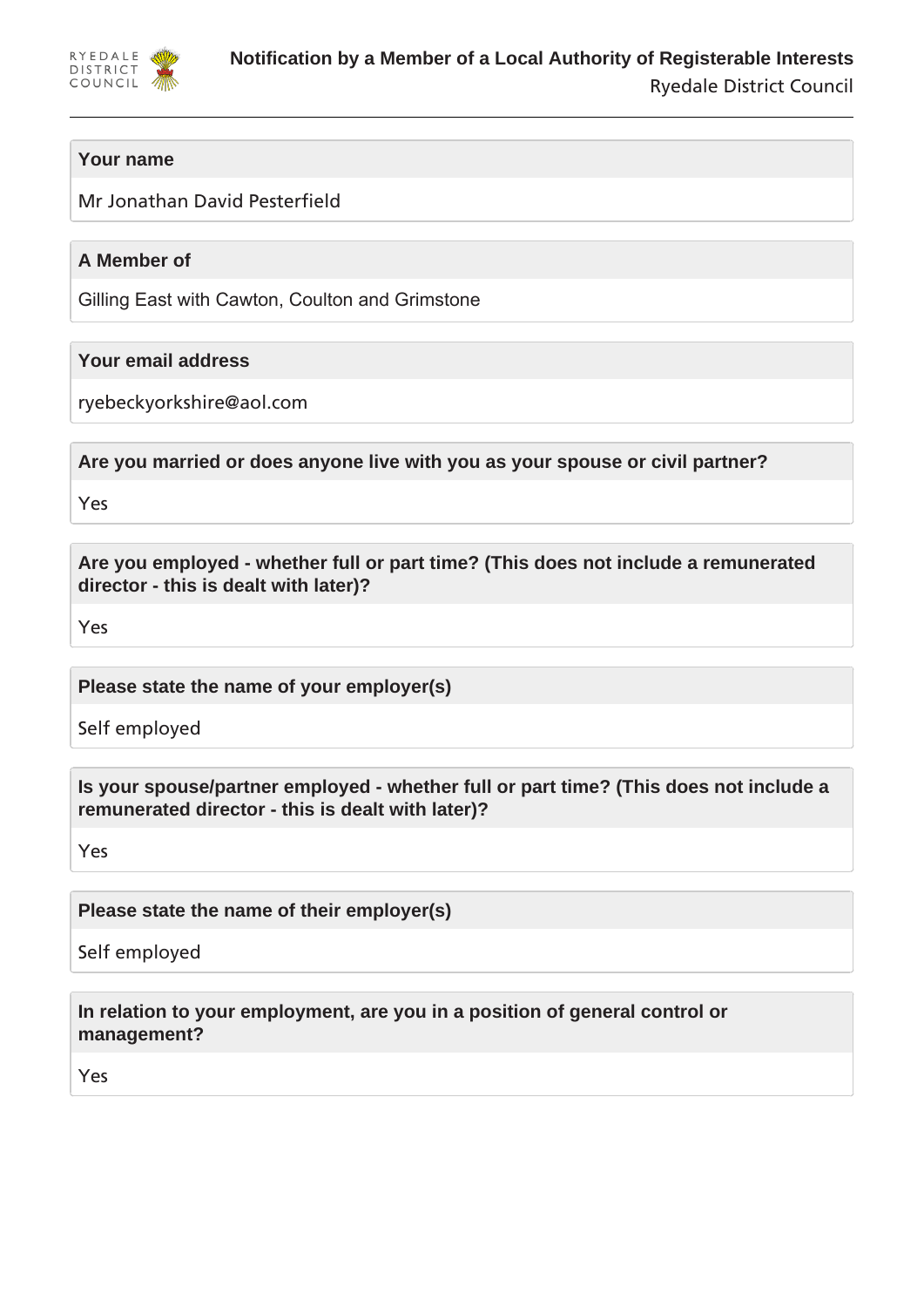

# **Your name**

Mr Jonathan David Pesterfield

# **A Member of**

Gilling East with Cawton, Coulton and Grimstone

## **Your email address**

ryebeckyorkshire@aol.com

**Are you married or does anyone live with you as your spouse or civil partner?**

Yes

**Are you employed - whether full or part time? (This does not include a remunerated director - this is dealt with later)?**

Yes

**Please state the name of your employer(s)**

Self employed

**Is your spouse/partner employed - whether full or part time? (This does not include a remunerated director - this is dealt with later)?**

Yes

**Please state the name of their employer(s)**

Self employed

**In relation to your employment, are you in a position of general control or management?**

Yes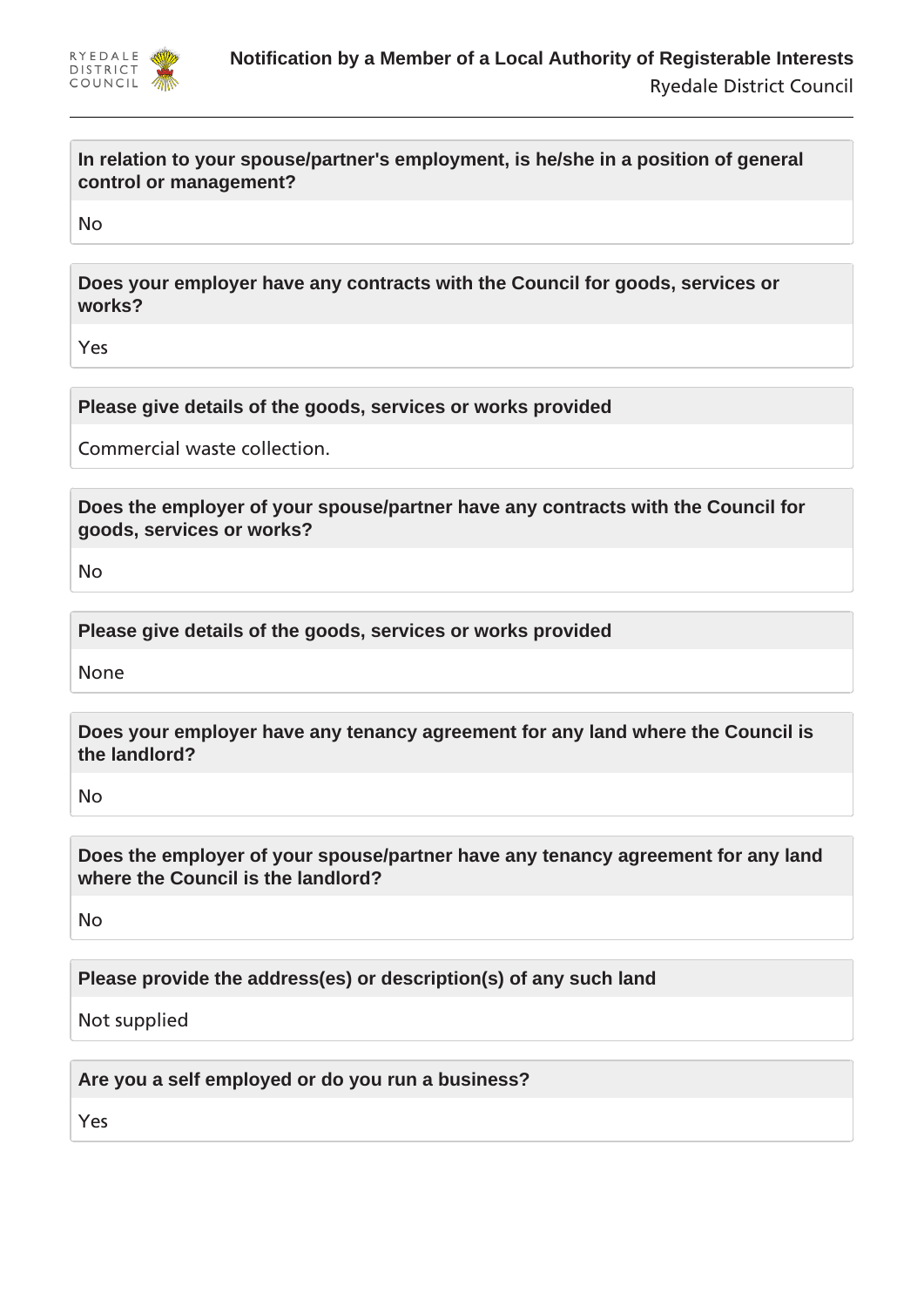

**In relation to your spouse/partner's employment, is he/she in a position of general control or management?**

No

**Does your employer have any contracts with the Council for goods, services or works?**

Yes

**Please give details of the goods, services or works provided**

Commercial waste collection.

**Does the employer of your spouse/partner have any contracts with the Council for goods, services or works?**

No

**Please give details of the goods, services or works provided**

None

**Does your employer have any tenancy agreement for any land where the Council is the landlord?**

No

**Does the employer of your spouse/partner have any tenancy agreement for any land where the Council is the landlord?**

No

**Please provide the address(es) or description(s) of any such land**

Not supplied

**Are you a self employed or do you run a business?**

Yes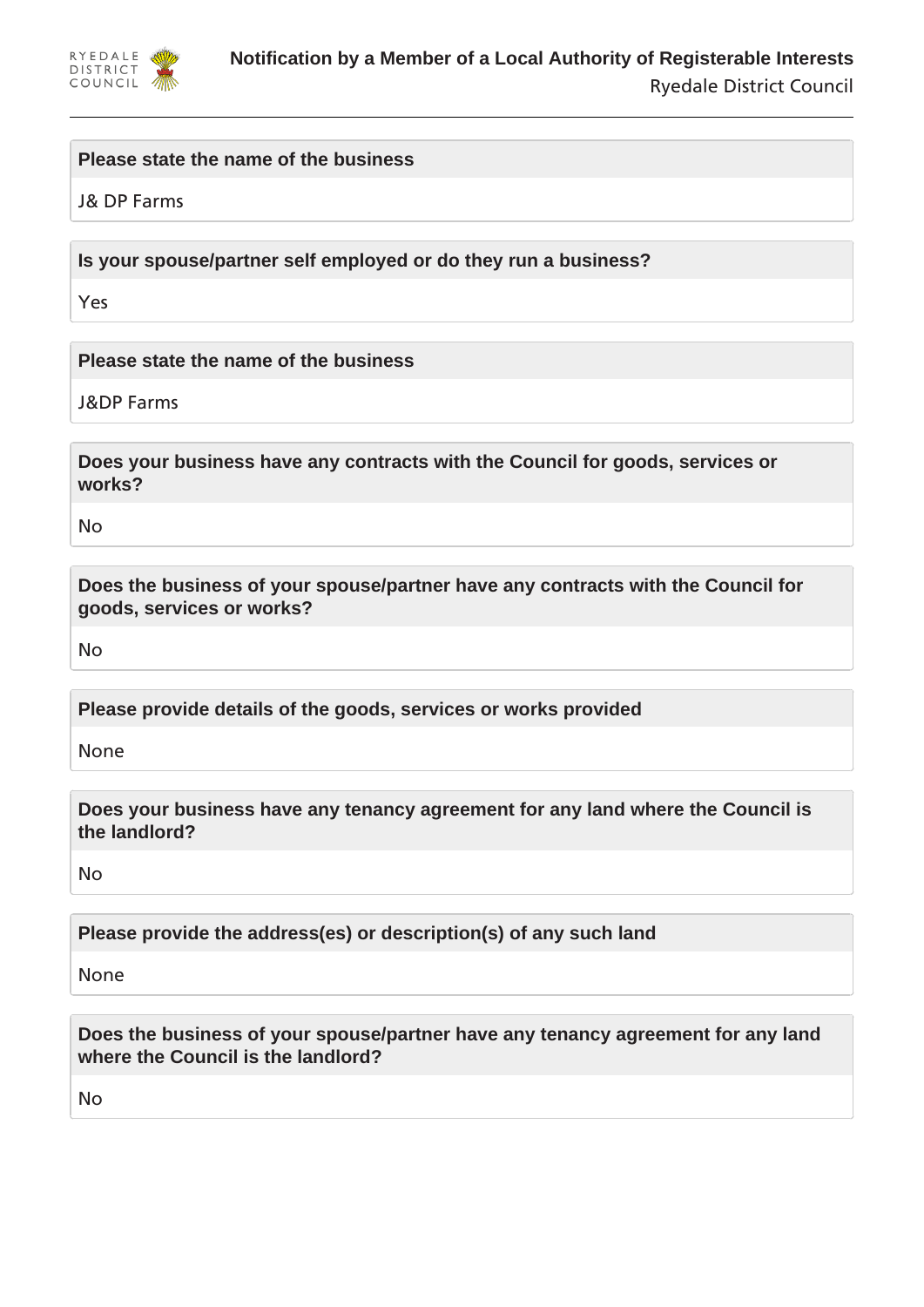

#### **Please state the name of the business**

J& DP Farms

**Is your spouse/partner self employed or do they run a business?**

Yes

**Please state the name of the business**

J&DP Farms

**Does your business have any contracts with the Council for goods, services or works?**

No

**Does the business of your spouse/partner have any contracts with the Council for goods, services or works?**

No

**Please provide details of the goods, services or works provided**

None

**Does your business have any tenancy agreement for any land where the Council is the landlord?**

No

**Please provide the address(es) or description(s) of any such land**

None

**Does the business of your spouse/partner have any tenancy agreement for any land where the Council is the landlord?**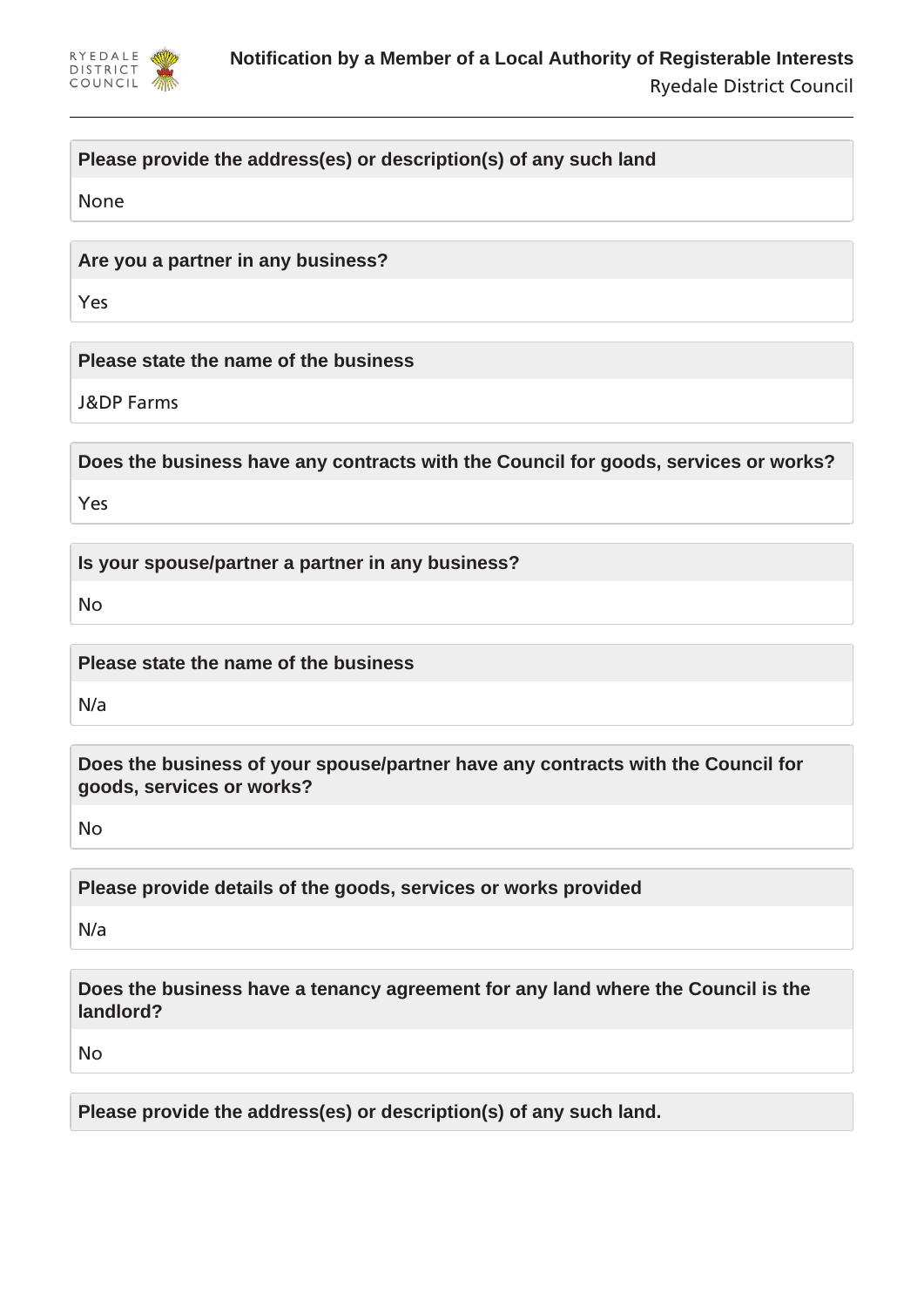

# **Please provide the address(es) or description(s) of any such land**

None

**Are you a partner in any business?**

Yes

**Please state the name of the business**

J&DP Farms

**Does the business have any contracts with the Council for goods, services or works?**

Yes

**Is your spouse/partner a partner in any business?**

No

**Please state the name of the business**

N/a

**Does the business of your spouse/partner have any contracts with the Council for goods, services or works?**

No

**Please provide details of the goods, services or works provided**

N/a

**Does the business have a tenancy agreement for any land where the Council is the landlord?**

No

**Please provide the address(es) or description(s) of any such land.**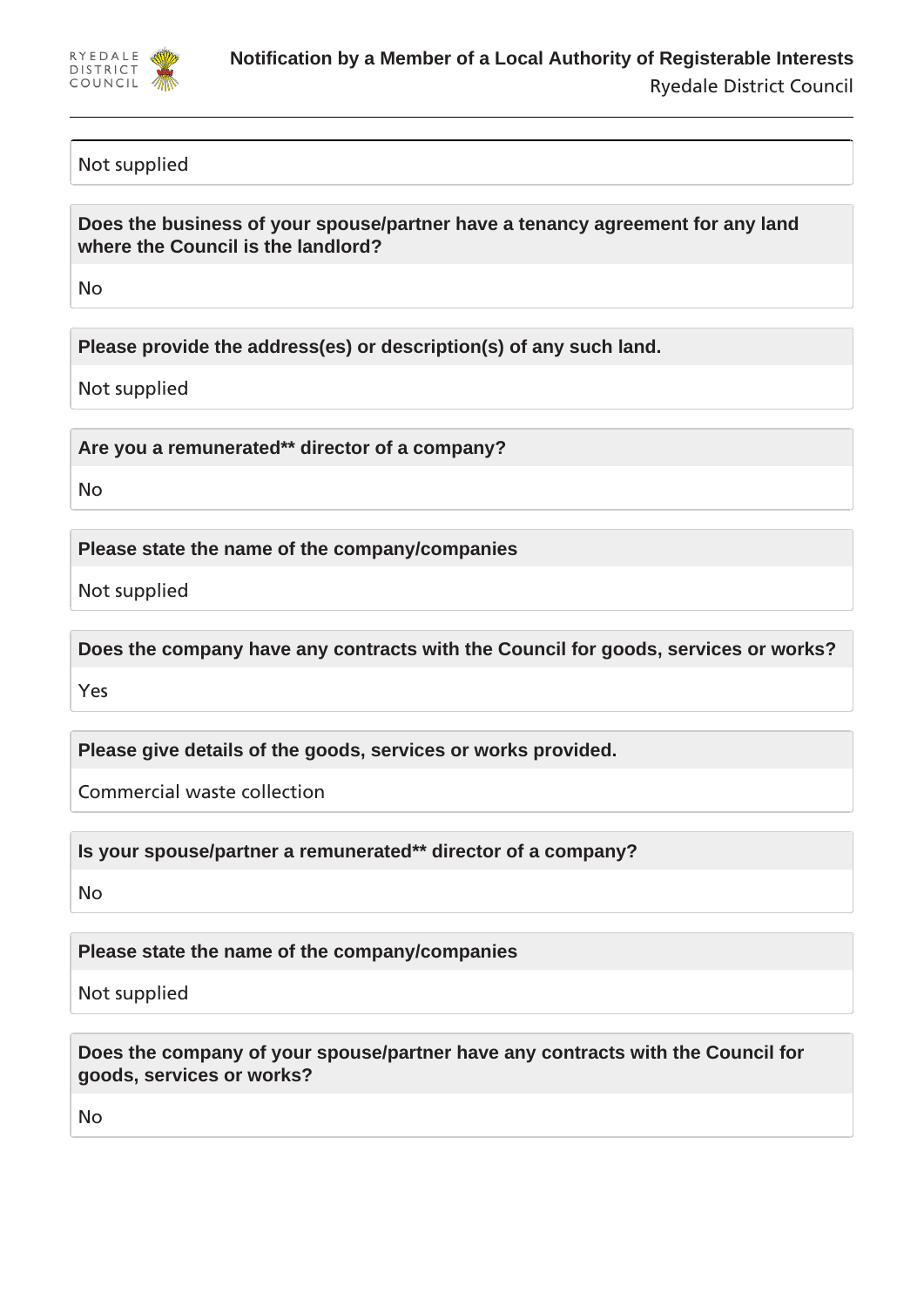

## Not supplied

**Does the business of your spouse/partner have a tenancy agreement for any land where the Council is the landlord?**

No

**Please provide the address(es) or description(s) of any such land.**

Not supplied

**Are you a remunerated\*\* director of a company?**

No

**Please state the name of the company/companies**

Not supplied

**Does the company have any contracts with the Council for goods, services or works?**

Yes

**Please give details of the goods, services or works provided.**

Commercial waste collection

**Is your spouse/partner a remunerated\*\* director of a company?**

No

**Please state the name of the company/companies**

Not supplied

**Does the company of your spouse/partner have any contracts with the Council for goods, services or works?**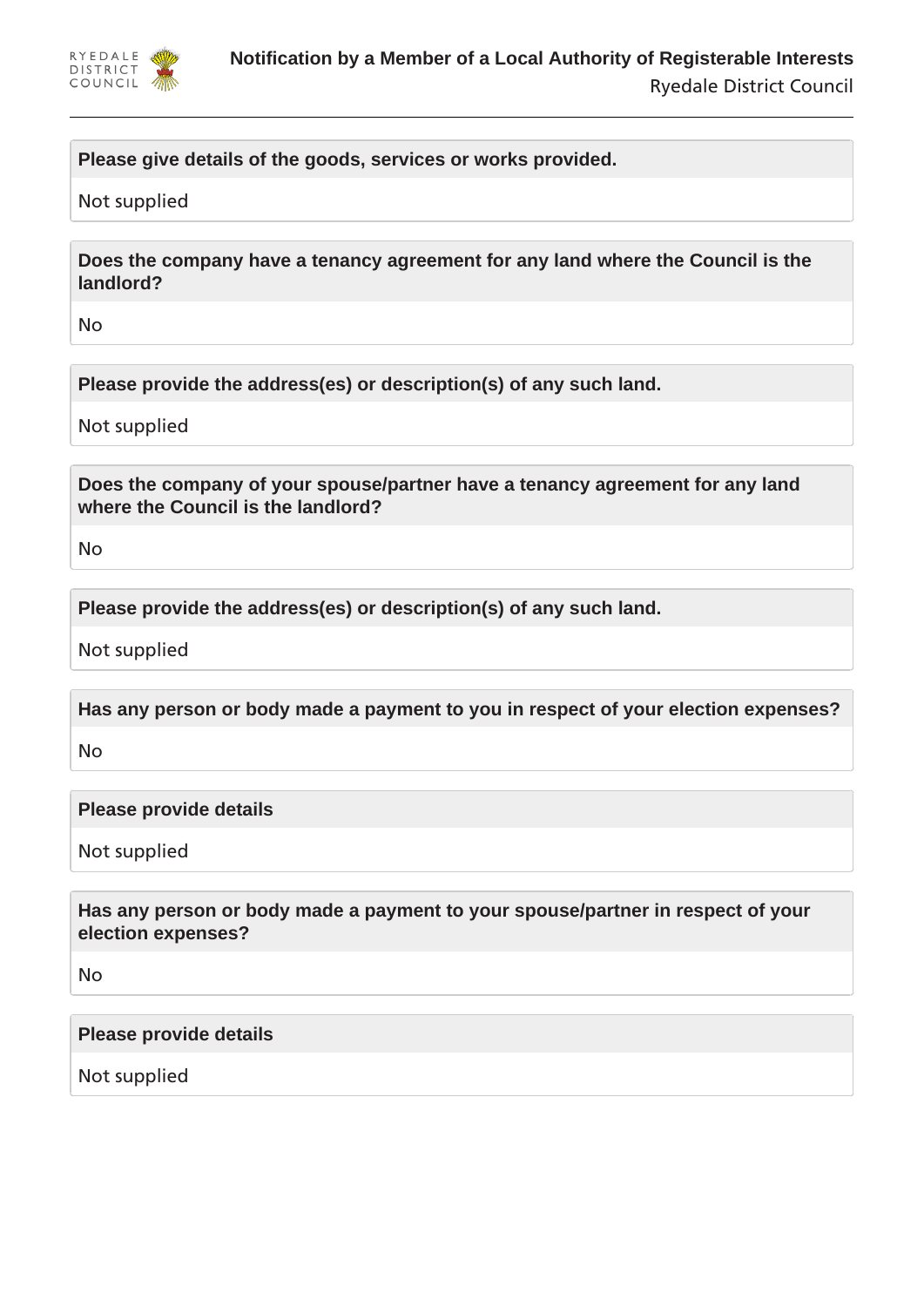

## **Please give details of the goods, services or works provided.**

#### Not supplied

**Does the company have a tenancy agreement for any land where the Council is the landlord?**

No

**Please provide the address(es) or description(s) of any such land.**

Not supplied

**Does the company of your spouse/partner have a tenancy agreement for any land where the Council is the landlord?**

No

**Please provide the address(es) or description(s) of any such land.**

Not supplied

**Has any person or body made a payment to you in respect of your election expenses?**

No

**Please provide details**

Not supplied

**Has any person or body made a payment to your spouse/partner in respect of your election expenses?**

No

#### **Please provide details**

Not supplied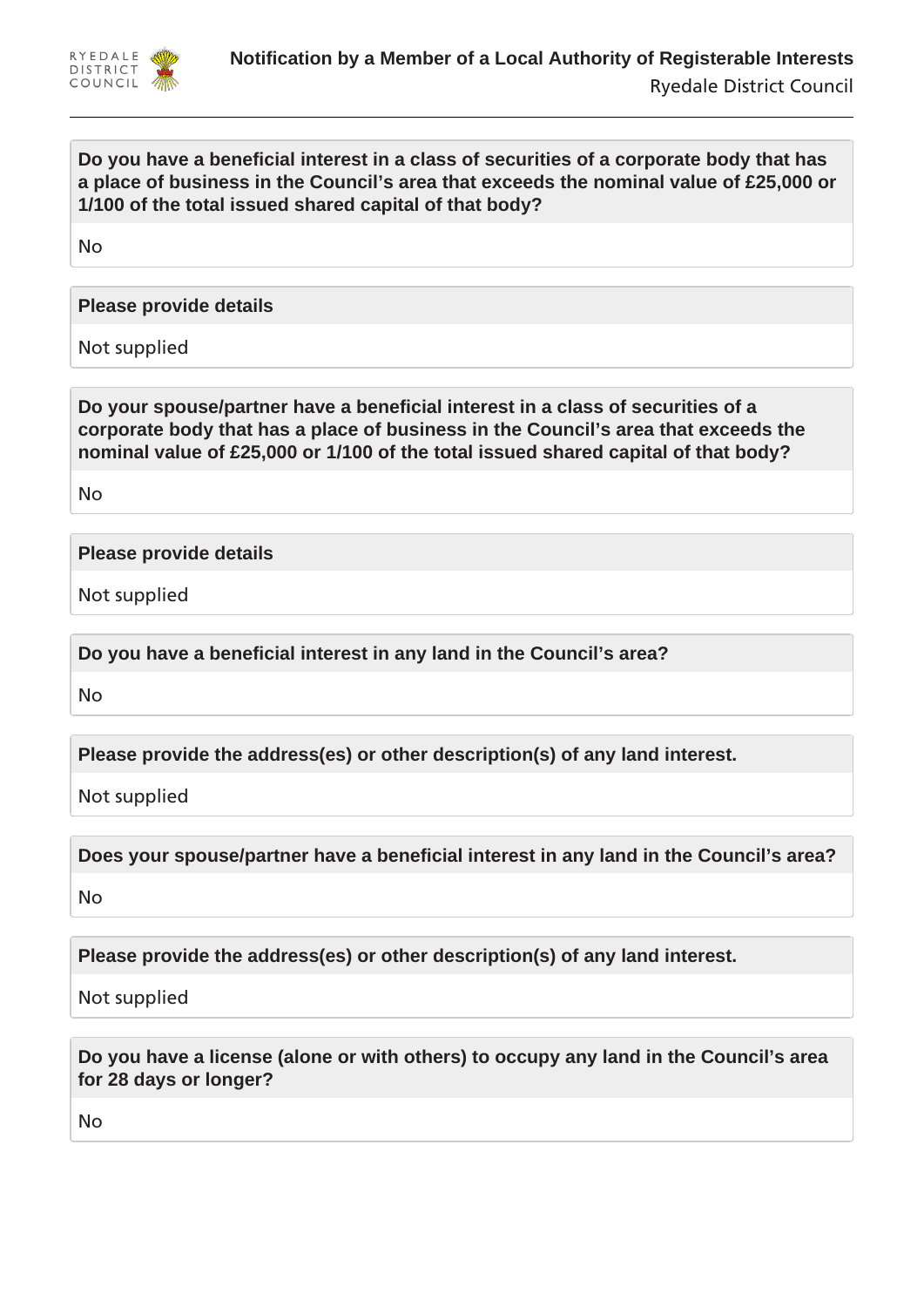

## **Do you have a beneficial interest in a class of securities of a corporate body that has a place of business in the Council's area that exceeds the nominal value of £25,000 or 1/100 of the total issued shared capital of that body?**

No

**Please provide details**

Not supplied

**Do your spouse/partner have a beneficial interest in a class of securities of a corporate body that has a place of business in the Council's area that exceeds the nominal value of £25,000 or 1/100 of the total issued shared capital of that body?**

No

## **Please provide details**

Not supplied

**Do you have a beneficial interest in any land in the Council's area?**

No

**Please provide the address(es) or other description(s) of any land interest.**

Not supplied

**Does your spouse/partner have a beneficial interest in any land in the Council's area?**

No

**Please provide the address(es) or other description(s) of any land interest.**

Not supplied

**Do you have a license (alone or with others) to occupy any land in the Council's area for 28 days or longer?**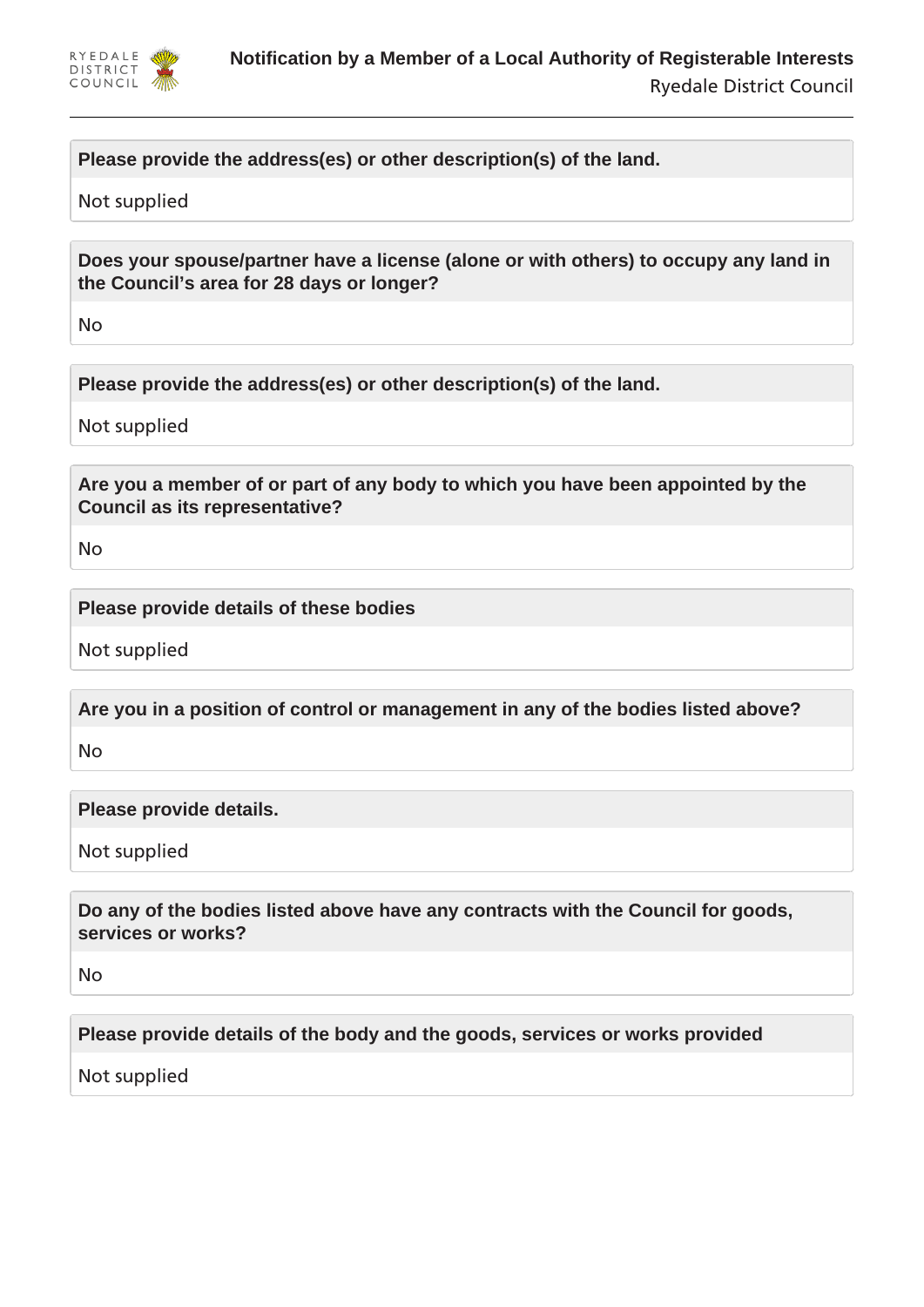

# **Please provide the address(es) or other description(s) of the land.**

#### Not supplied

**Does your spouse/partner have a license (alone or with others) to occupy any land in the Council's area for 28 days or longer?**

No

**Please provide the address(es) or other description(s) of the land.**

Not supplied

**Are you a member of or part of any body to which you have been appointed by the Council as its representative?**

No

**Please provide details of these bodies**

Not supplied

**Are you in a position of control or management in any of the bodies listed above?**

No

**Please provide details.**

Not supplied

**Do any of the bodies listed above have any contracts with the Council for goods, services or works?**

No

**Please provide details of the body and the goods, services or works provided**

Not supplied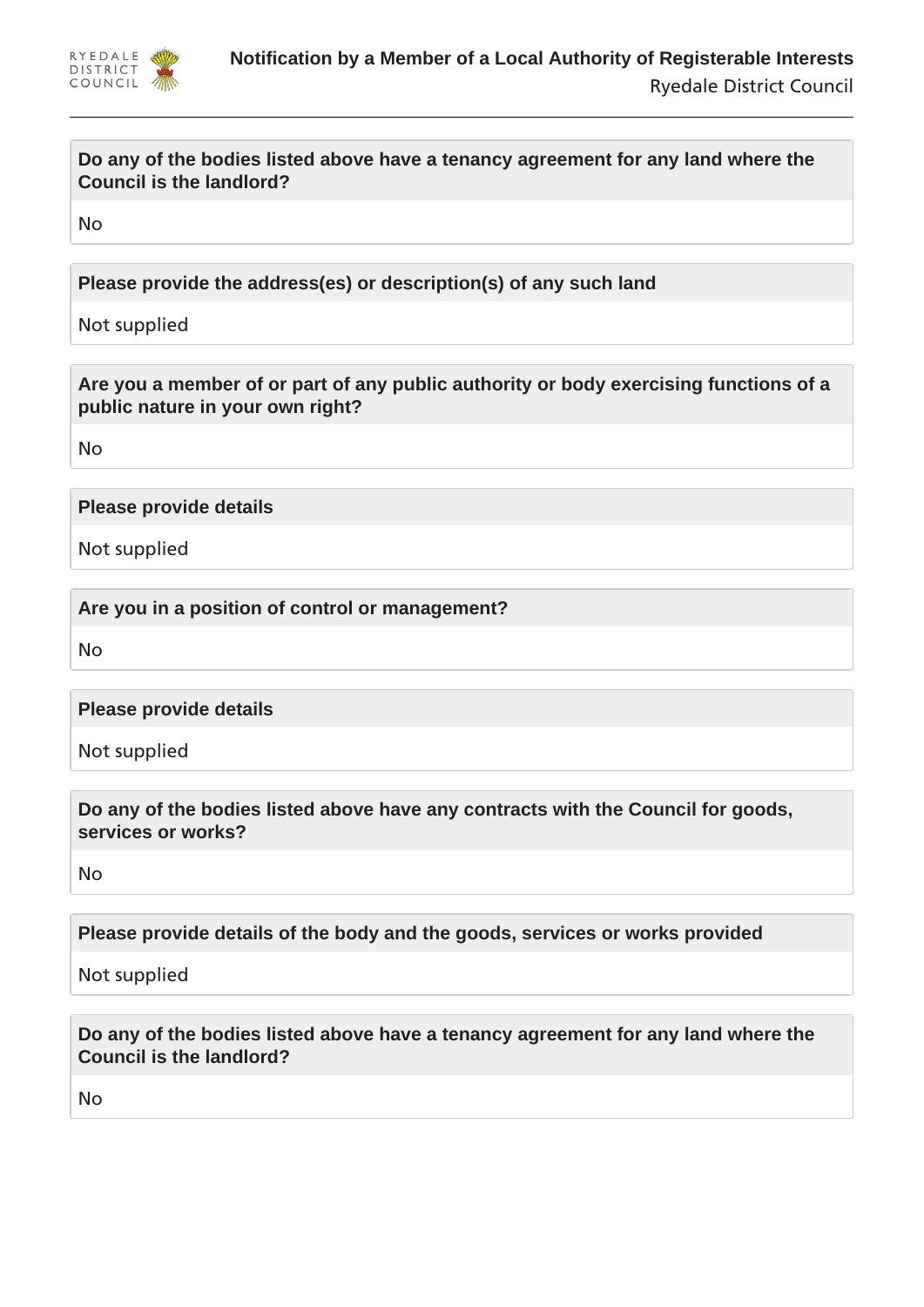

## **Do any of the bodies listed above have a tenancy agreement for any land where the Council is the landlord?**

No

**Please provide the address(es) or description(s) of any such land**

Not supplied

**Are you a member of or part of any public authority or body exercising functions of a public nature in your own right?**

No

**Please provide details**

Not supplied

**Are you in a position of control or management?**

No

**Please provide details**

Not supplied

**Do any of the bodies listed above have any contracts with the Council for goods, services or works?**

No

**Please provide details of the body and the goods, services or works provided**

Not supplied

**Do any of the bodies listed above have a tenancy agreement for any land where the Council is the landlord?**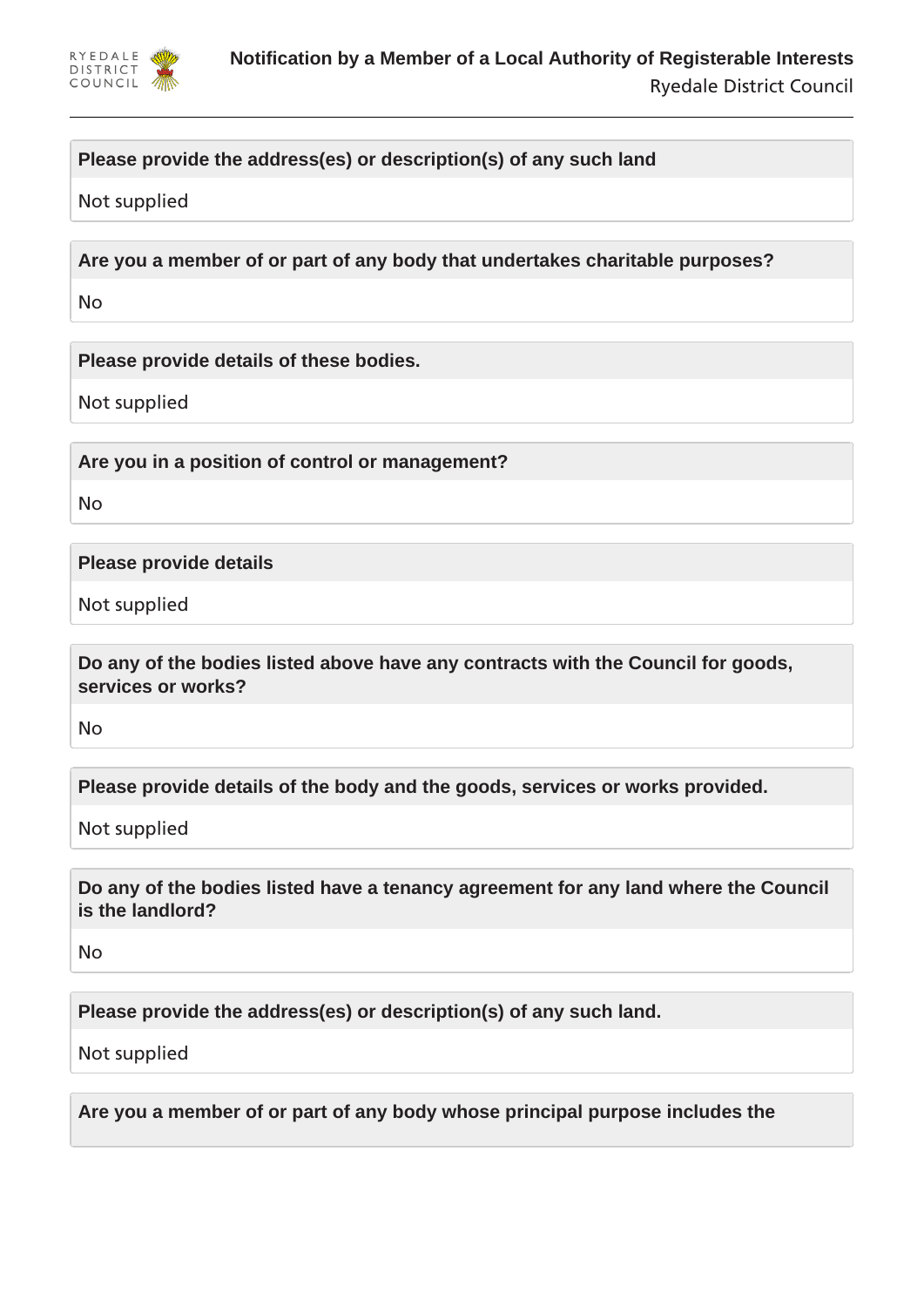

# **Please provide the address(es) or description(s) of any such land**

Not supplied

**Are you a member of or part of any body that undertakes charitable purposes?**

No

**Please provide details of these bodies.**

Not supplied

**Are you in a position of control or management?**

No

**Please provide details**

Not supplied

**Do any of the bodies listed above have any contracts with the Council for goods, services or works?**

No

**Please provide details of the body and the goods, services or works provided.**

Not supplied

**Do any of the bodies listed have a tenancy agreement for any land where the Council is the landlord?**

No

**Please provide the address(es) or description(s) of any such land.**

Not supplied

**Are you a member of or part of any body whose principal purpose includes the**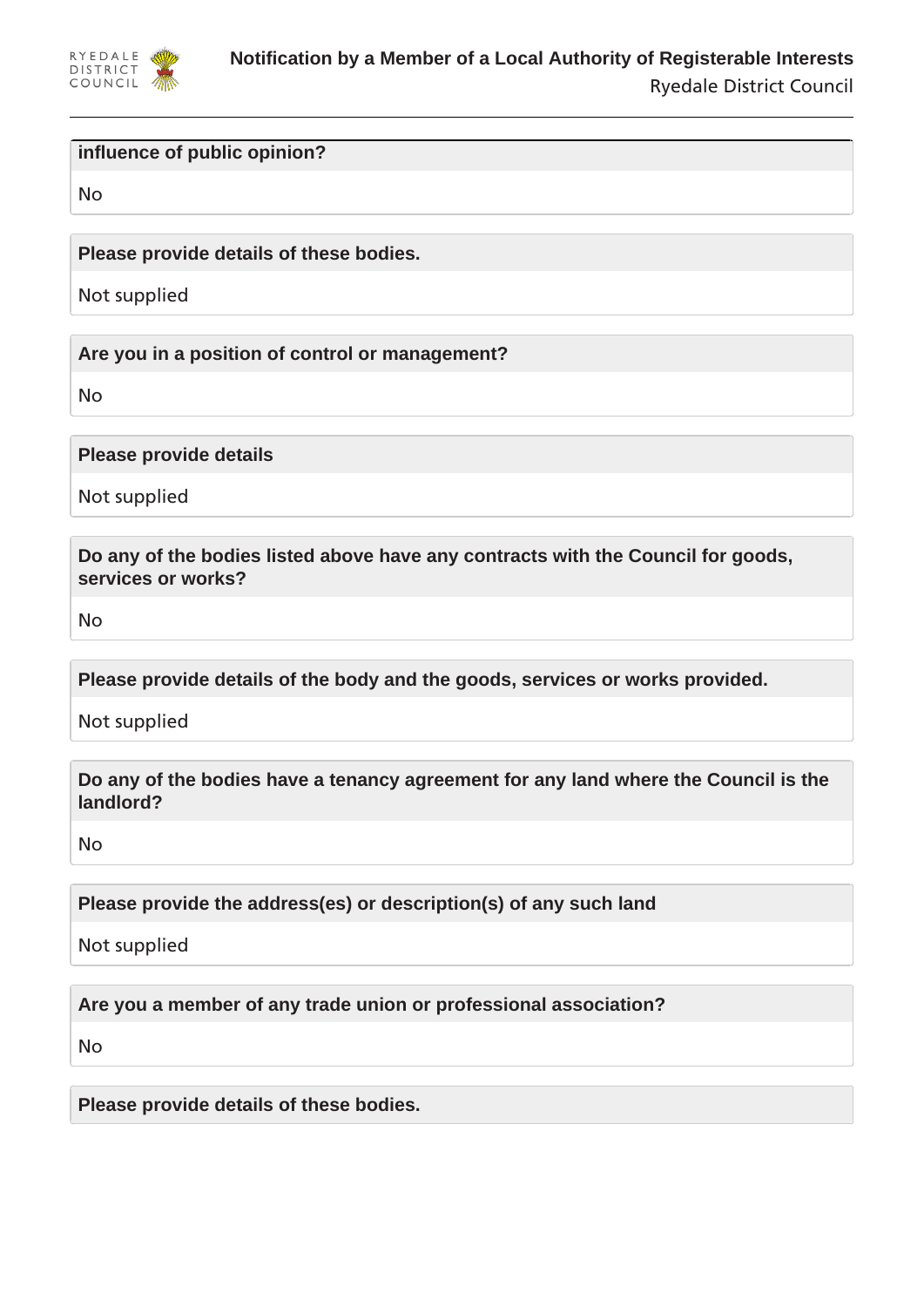

#### **influence of public opinion?**

No

**Please provide details of these bodies.**

Not supplied

**Are you in a position of control or management?**

No

**Please provide details**

Not supplied

**Do any of the bodies listed above have any contracts with the Council for goods, services or works?**

No

**Please provide details of the body and the goods, services or works provided.**

Not supplied

**Do any of the bodies have a tenancy agreement for any land where the Council is the landlord?**

No

**Please provide the address(es) or description(s) of any such land**

Not supplied

**Are you a member of any trade union or professional association?**

No

**Please provide details of these bodies.**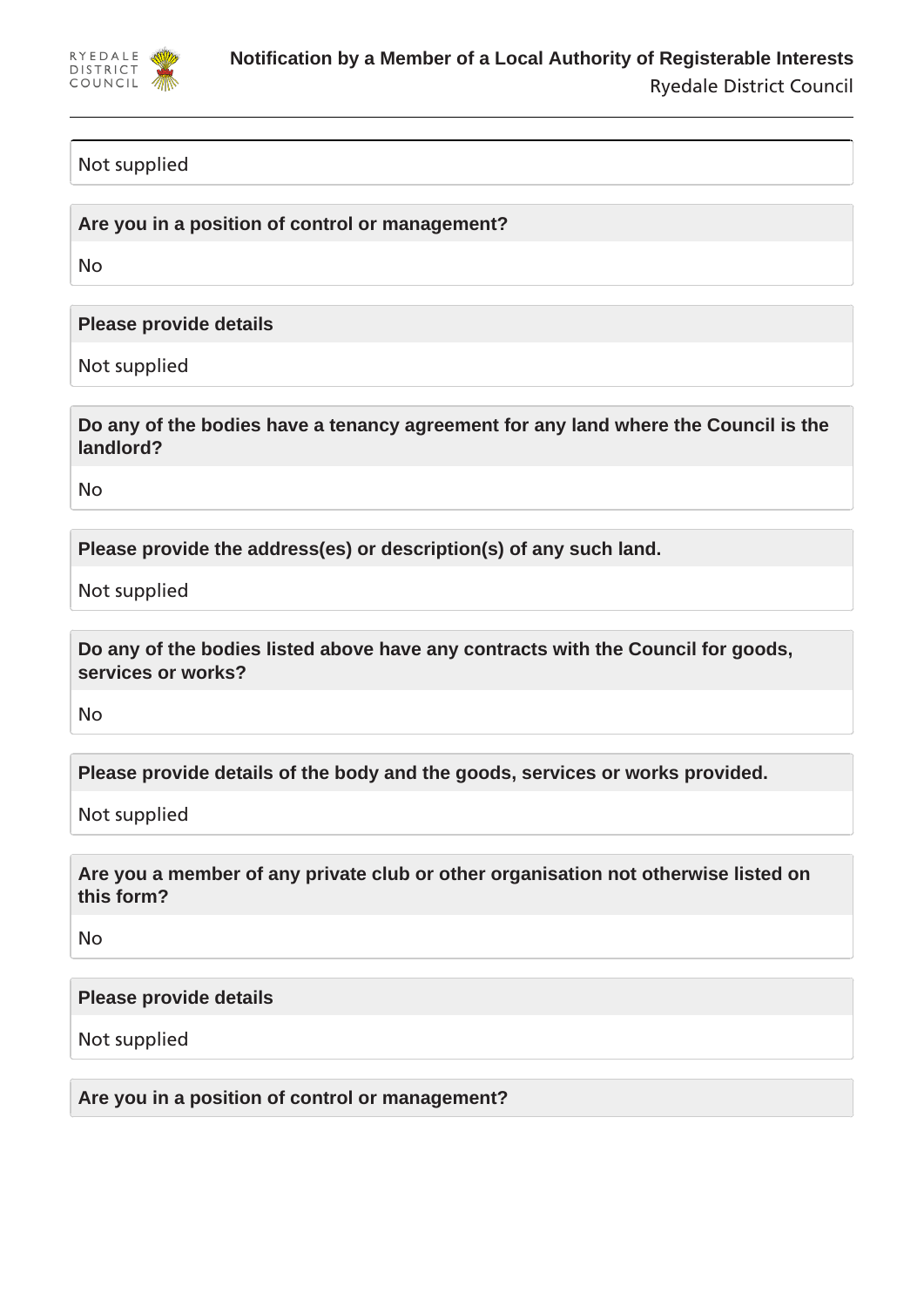

## Not supplied

**Are you in a position of control or management?**

No

**Please provide details**

Not supplied

**Do any of the bodies have a tenancy agreement for any land where the Council is the landlord?**

No

**Please provide the address(es) or description(s) of any such land.**

Not supplied

**Do any of the bodies listed above have any contracts with the Council for goods, services or works?**

No

**Please provide details of the body and the goods, services or works provided.**

Not supplied

**Are you a member of any private club or other organisation not otherwise listed on this form?**

No

**Please provide details**

Not supplied

**Are you in a position of control or management?**